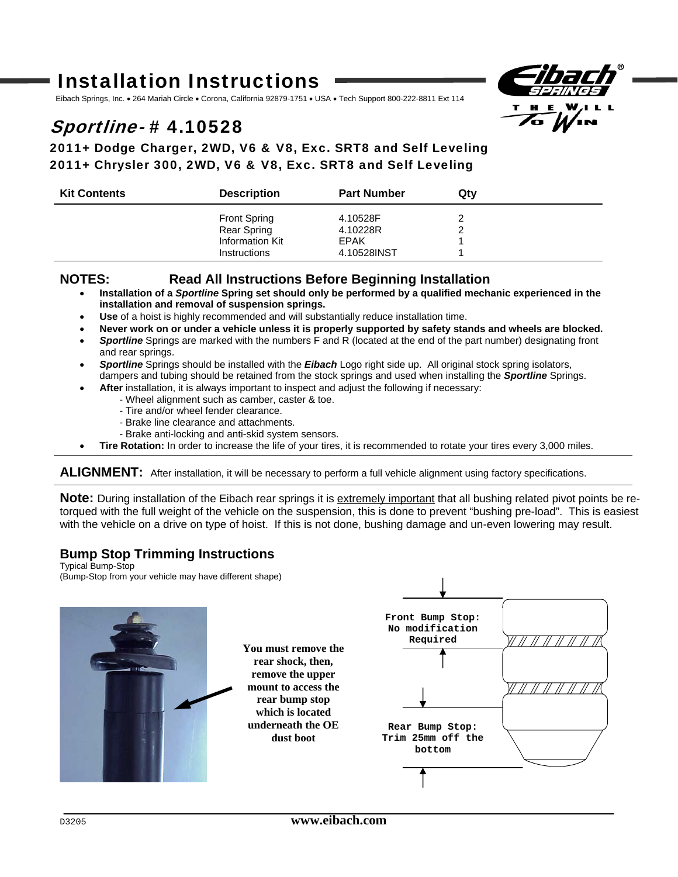# Installation Instructions

Eibach Springs, Inc. . 264 Mariah Circle . Corona, California 92879-1751 . USA . Tech Support 800-222-8811 Ext 114

## Sportline- # 4.10528



### 2011+ Dodge Charger, 2WD, V6 & V8, Exc. SRT8 and Self Leveling 2011+ Chrysler 300, 2WD, V6 & V8, Exc. SRT8 and Self Leveling

| <b>Kit Contents</b> | <b>Description</b>  | <b>Part Number</b> | Qtv |  |
|---------------------|---------------------|--------------------|-----|--|
|                     | <b>Front Spring</b> | 4.10528F           |     |  |
|                     | Rear Spring         | 4.10228R           |     |  |
|                     | Information Kit     | <b>FPAK</b>        |     |  |
|                     | <b>Instructions</b> | 4.10528INST        |     |  |

#### **NOTES: Read All Instructions Before Beginning Installation**

- **Installation of a** *Sportline* **Spring set should only be performed by a qualified mechanic experienced in the installation and removal of suspension springs.**
- **Use** of a hoist is highly recommended and will substantially reduce installation time.
- **Never work on or under a vehicle unless it is properly supported by safety stands and wheels are blocked.**
- *Sportline* Springs are marked with the numbers F and R (located at the end of the part number) designating front and rear springs.
- *Sportline* Springs should be installed with the *Eibach* Logo right side up. All original stock spring isolators, dampers and tubing should be retained from the stock springs and used when installing the *Sportline* Springs.
- **After** installation, it is always important to inspect and adjust the following if necessary:
	- Wheel alignment such as camber, caster & toe.
		- Tire and/or wheel fender clearance.
		- Brake line clearance and attachments.
	- Brake anti-locking and anti-skid system sensors.
- **Tire Rotation:** In order to increase the life of your tires, it is recommended to rotate your tires every 3,000 miles.

ALIGNMENT: After installation, it will be necessary to perform a full vehicle alignment using factory specifications.

**Note:** During installation of the Eibach rear springs it is extremely important that all bushing related pivot points be retorqued with the full weight of the vehicle on the suspension, this is done to prevent "bushing pre-load". This is easiest with the vehicle on a drive on type of hoist. If this is not done, bushing damage and un-even lowering may result.

### **Bump Stop Trimming Instructions**

Typical Bump-Stop (Bump-Stop from your vehicle may have different shape)